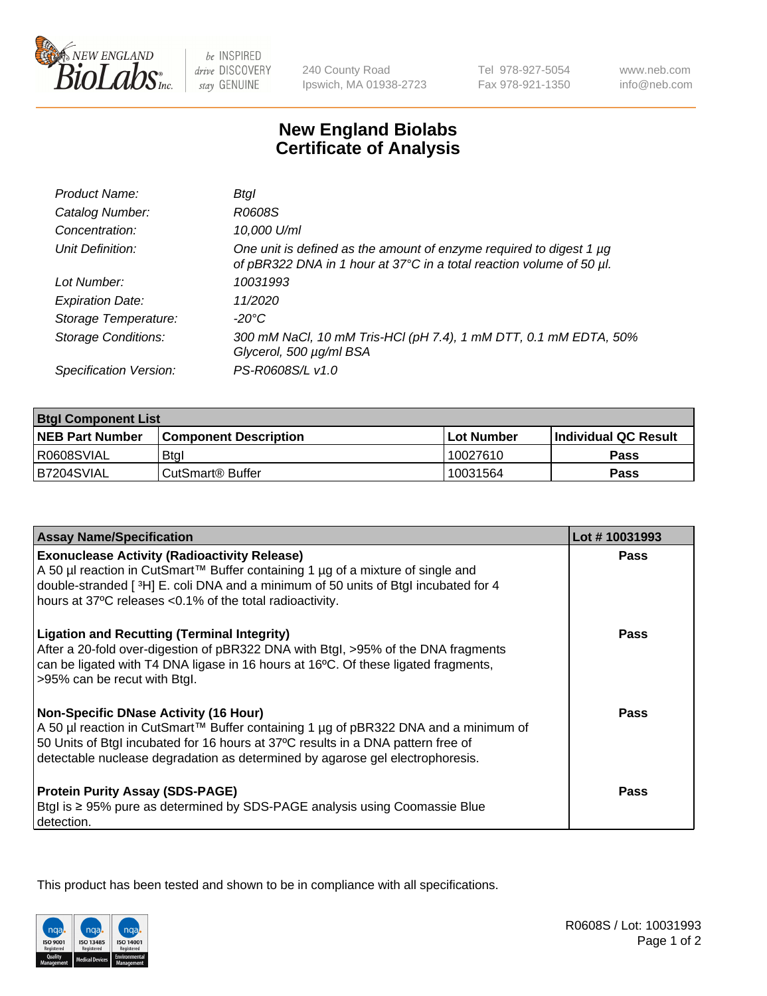

be INSPIRED drive DISCOVERY stay GENUINE

240 County Road Ipswich, MA 01938-2723 Tel 978-927-5054 Fax 978-921-1350

www.neb.com info@neb.com

## **New England Biolabs Certificate of Analysis**

| Product Name:              | Btal                                                                                                                                             |
|----------------------------|--------------------------------------------------------------------------------------------------------------------------------------------------|
| Catalog Number:            | R0608S                                                                                                                                           |
| Concentration:             | 10,000 U/ml                                                                                                                                      |
| Unit Definition:           | One unit is defined as the amount of enzyme required to digest 1 $\mu$ g<br>of pBR322 DNA in 1 hour at 37°C in a total reaction volume of 50 µl. |
| Lot Number:                | 10031993                                                                                                                                         |
| <b>Expiration Date:</b>    | 11/2020                                                                                                                                          |
| Storage Temperature:       | -20°C                                                                                                                                            |
| <b>Storage Conditions:</b> | 300 mM NaCl, 10 mM Tris-HCl (pH 7.4), 1 mM DTT, 0.1 mM EDTA, 50%<br>Glycerol, 500 µg/ml BSA                                                      |
| Specification Version:     | PS-R0608S/L v1.0                                                                                                                                 |

| <b>Btgl Component List</b> |                              |             |                             |  |
|----------------------------|------------------------------|-------------|-----------------------------|--|
| <b>NEB Part Number</b>     | <b>Component Description</b> | ⊺Lot Number | <b>Individual QC Result</b> |  |
| R0608SVIAL                 | <b>Btgl</b>                  | 10027610    | Pass                        |  |
| B7204SVIAL                 | CutSmart <sup>®</sup> Buffer | 10031564    | Pass                        |  |

| <b>Assay Name/Specification</b>                                                                                                                                                                                                                                                                          | Lot #10031993 |
|----------------------------------------------------------------------------------------------------------------------------------------------------------------------------------------------------------------------------------------------------------------------------------------------------------|---------------|
| <b>Exonuclease Activity (Radioactivity Release)</b><br>A 50 µl reaction in CutSmart™ Buffer containing 1 µg of a mixture of single and                                                                                                                                                                   | Pass          |
| double-stranded [3H] E. coli DNA and a minimum of 50 units of Btgl incubated for 4<br>hours at 37°C releases <0.1% of the total radioactivity.                                                                                                                                                           |               |
| <b>Ligation and Recutting (Terminal Integrity)</b><br>After a 20-fold over-digestion of pBR322 DNA with Btgl, >95% of the DNA fragments<br>can be ligated with T4 DNA ligase in 16 hours at 16°C. Of these ligated fragments,<br>>95% can be recut with Btgl.                                            | <b>Pass</b>   |
| <b>Non-Specific DNase Activity (16 Hour)</b><br>A 50 µl reaction in CutSmart™ Buffer containing 1 µg of pBR322 DNA and a minimum of<br>50 Units of Btgl incubated for 16 hours at 37°C results in a DNA pattern free of<br>detectable nuclease degradation as determined by agarose gel electrophoresis. | Pass          |
| <b>Protein Purity Assay (SDS-PAGE)</b><br>Btgl is ≥ 95% pure as determined by SDS-PAGE analysis using Coomassie Blue<br>detection.                                                                                                                                                                       | Pass          |

This product has been tested and shown to be in compliance with all specifications.